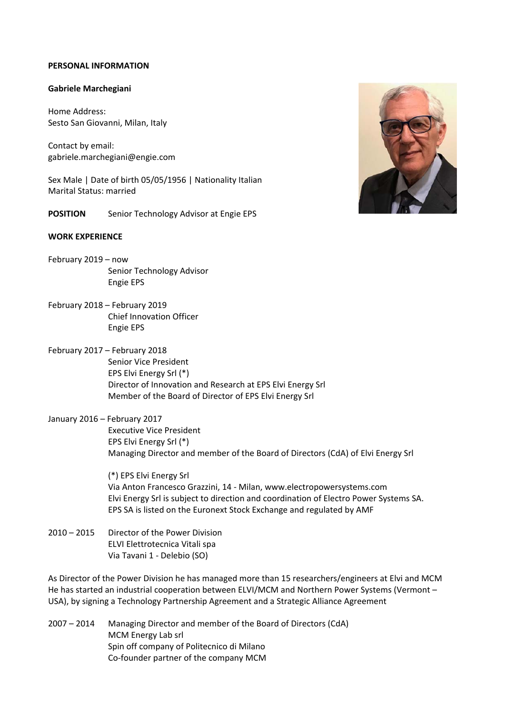### **PERSONAL INFORMATION**

#### **Gabriele Marchegiani**

Home Address: Sesto San Giovanni, Milan, Italy

Contact by email: gabriele.marchegiani@engie.com

Sex Male | Date of birth 05/05/1956 | Nationality Italian Marital Status: married

**POSITION** Senior Technology Advisor at Engie EPS

### **WORK EXPERIENCE**

- February 2019 now Senior Technology Advisor Engie EPS
- February 2018 February 2019 Chief Innovation Officer Engie EPS
- February 2017 February 2018
	- Senior Vice President EPS Elvi Energy Srl (\*) Director of Innovation and Research at EPS Elvi Energy Srl Member of the Board of Director of EPS Elvi Energy Srl

# January 2016 – February 2017 Executive Vice President EPS Elvi Energy Srl (\*) Managing Director and member of the Board of Directors (CdA) of Elvi Energy Srl

(\*) EPS Elvi Energy Srl Via Anton Francesco Grazzini, 14 ‐ Milan, www.electropowersystems.com Elvi Energy Srl is subject to direction and coordination of Electro Power Systems SA. EPS SA is listed on the Euronext Stock Exchange and regulated by AMF

2010 – 2015 Director of the Power Division ELVI Elettrotecnica Vitali spa Via Tavani 1 ‐ Delebio (SO)

As Director of the Power Division he has managed more than 15 researchers/engineers at Elvi and MCM He has started an industrial cooperation between ELVI/MCM and Northern Power Systems (Vermont – USA), by signing a Technology Partnership Agreement and a Strategic Alliance Agreement

2007 – 2014 Managing Director and member of the Board of Directors (CdA) MCM Energy Lab srl Spin off company of Politecnico di Milano Co‐founder partner of the company MCM

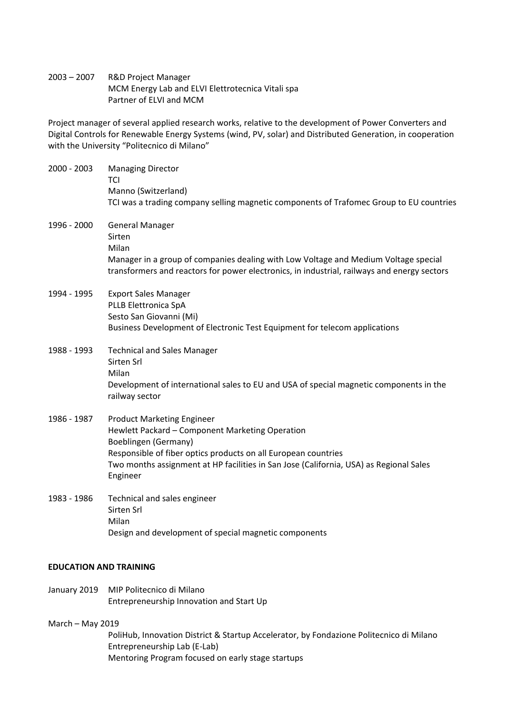2003 – 2007 R&D Project Manager MCM Energy Lab and ELVI Elettrotecnica Vitali spa Partner of ELVI and MCM

Project manager of several applied research works, relative to the development of Power Converters and Digital Controls for Renewable Energy Systems (wind, PV, solar) and Distributed Generation, in cooperation with the University "Politecnico di Milano"

| 2000 - 2003 | <b>Managing Director</b><br>TCI<br>Manno (Switzerland)<br>TCI was a trading company selling magnetic components of Trafomec Group to EU countries                                                                                                                                    |
|-------------|--------------------------------------------------------------------------------------------------------------------------------------------------------------------------------------------------------------------------------------------------------------------------------------|
| 1996 - 2000 | <b>General Manager</b><br>Sirten<br>Milan<br>Manager in a group of companies dealing with Low Voltage and Medium Voltage special<br>transformers and reactors for power electronics, in industrial, railways and energy sectors                                                      |
| 1994 - 1995 | <b>Export Sales Manager</b><br>PLLB Elettronica SpA<br>Sesto San Giovanni (Mi)<br>Business Development of Electronic Test Equipment for telecom applications                                                                                                                         |
| 1988 - 1993 | <b>Technical and Sales Manager</b><br>Sirten Srl<br>Milan<br>Development of international sales to EU and USA of special magnetic components in the<br>railway sector                                                                                                                |
| 1986 - 1987 | <b>Product Marketing Engineer</b><br>Hewlett Packard - Component Marketing Operation<br>Boeblingen (Germany)<br>Responsible of fiber optics products on all European countries<br>Two months assignment at HP facilities in San Jose (California, USA) as Regional Sales<br>Engineer |
| 1983 - 1986 | Technical and sales engineer<br>Sirten Srl<br>Milan<br>Design and development of special magnetic components                                                                                                                                                                         |

### **EDUCATION AND TRAINING**

January 2019 MIP Politecnico di Milano Entrepreneurship Innovation and Start Up

#### March – May 2019

PoliHub, Innovation District & Startup Accelerator, by Fondazione Politecnico di Milano Entrepreneurship Lab (E‐Lab) Mentoring Program focused on early stage startups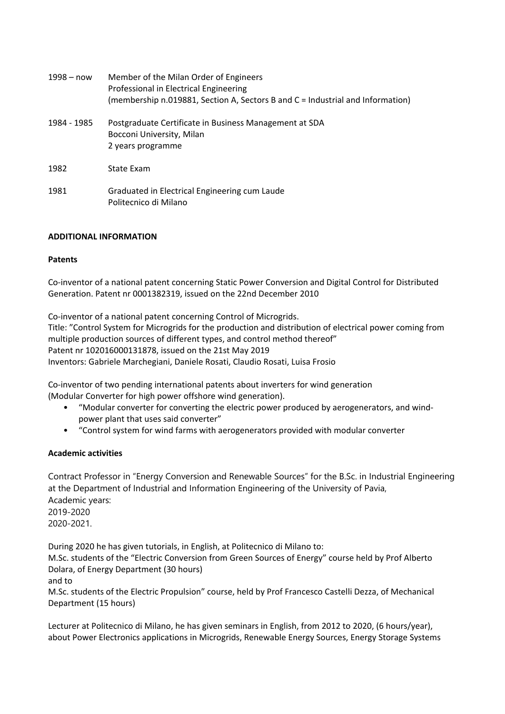| 1998 – now  | Member of the Milan Order of Engineers<br>Professional in Electrical Engineering<br>(membership n.019881, Section A, Sectors B and C = Industrial and Information) |
|-------------|--------------------------------------------------------------------------------------------------------------------------------------------------------------------|
| 1984 - 1985 | Postgraduate Certificate in Business Management at SDA<br>Bocconi University, Milan<br>2 years programme                                                           |
| 1982        | State Exam                                                                                                                                                         |
| 1981        | Graduated in Electrical Engineering cum Laude<br>Politecnico di Milano                                                                                             |

# **ADDITIONAL INFORMATION**

## **Patents**

Co‐inventor of a national patent concerning Static Power Conversion and Digital Control for Distributed Generation. Patent nr 0001382319, issued on the 22nd December 2010

Co‐inventor of a national patent concerning Control of Microgrids. Title: "Control System for Microgrids for the production and distribution of electrical power coming from multiple production sources of different types, and control method thereof" Patent nr 102016000131878, issued on the 21st May 2019 Inventors: Gabriele Marchegiani, Daniele Rosati, Claudio Rosati, Luisa Frosio

Co‐inventor of two pending international patents about inverters for wind generation (Modular Converter for high power offshore wind generation).

- "Modular converter for converting the electric power produced by aerogenerators, and wind‐ power plant that uses said converter"
- "Control system for wind farms with aerogenerators provided with modular converter

# **Academic activities**

Contract Professor in "Energy Conversion and Renewable Sources" for the B.Sc. in Industrial Engineering at the Department of Industrial and Information Engineering of the University of Pavia, Academic years: 2019-2020 2020-2021.

During 2020 he has given tutorials, in English, at Politecnico di Milano to:

M.Sc. students of the "Electric Conversion from Green Sources of Energy" course held by Prof Alberto Dolara, of Energy Department (30 hours)

and to

M.Sc. students of the Electric Propulsion" course, held by Prof Francesco Castelli Dezza, of Mechanical Department (15 hours)

Lecturer at Politecnico di Milano, he has given seminars in English, from 2012 to 2020, (6 hours/year), about Power Electronics applications in Microgrids, Renewable Energy Sources, Energy Storage Systems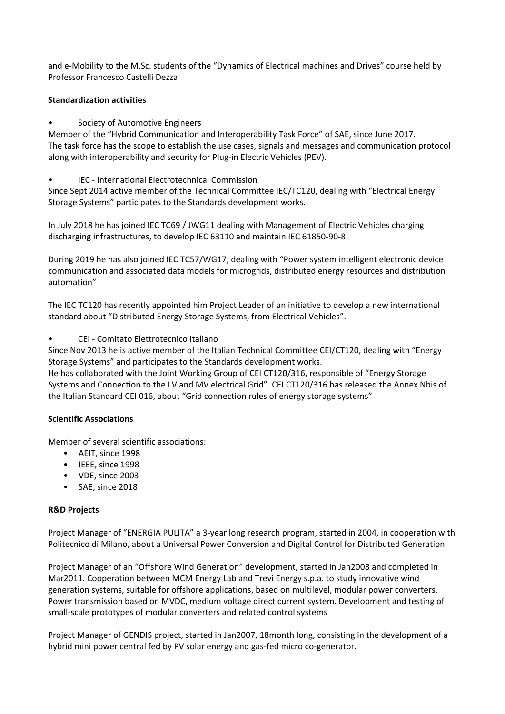and e-Mobility to the M.Sc. students of the "Dynamics of Electrical machines and Drives" course held by Professor Francesco Castelli Dezza

# **Standardization activities**

Society of Automotive Engineers

Member of the "Hybrid Communication and Interoperability Task Force" of SAE, since June 2017. The task force has the scope to establish the use cases, signals and messages and communication protocol along with interoperability and security for Plug-in Electric Vehicles (PEV).

• IEC ‐ International Electrotechnical Commission

Since Sept 2014 active member of the Technical Committee IEC/TC120, dealing with "Electrical Energy Storage Systems" participates to the Standards development works.

In July 2018 he has joined IEC TC69 / JWG11 dealing with Management of Electric Vehicles charging discharging infrastructures, to develop IEC 63110 and maintain IEC 61850‐90‐8

During 2019 he has also joined IEC TC57/WG17, dealing with "Power system intelligent electronic device communication and associated data models for microgrids, distributed energy resources and distribution automation"

The IEC TC120 has recently appointed him Project Leader of an initiative to develop a new international standard about "Distributed Energy Storage Systems, from Electrical Vehicles".

# • CEI ‐ Comitato Elettrotecnico Italiano

Since Nov 2013 he is active member of the Italian Technical Committee CEI/CT120, dealing with "Energy Storage Systems" and participates to the Standards development works.

He has collaborated with the Joint Working Group of CEI CT120/316, responsible of "Energy Storage Systems and Connection to the LV and MV electrical Grid". CEI CT120/316 has released the Annex Nbis of the Italian Standard CEI 016, about "Grid connection rules of energy storage systems"

## **Scientific Associations**

Member of several scientific associations:

- AEIT, since 1998
- IEEE, since 1998
- VDE, since 2003
- SAE, since 2018

## **R&D Projects**

Project Manager of "ENERGIA PULITA" a 3‐year long research program, started in 2004, in cooperation with Politecnico di Milano, about a Universal Power Conversion and Digital Control for Distributed Generation

Project Manager of an "Offshore Wind Generation" development, started in Jan2008 and completed in Mar2011. Cooperation between MCM Energy Lab and Trevi Energy s.p.a. to study innovative wind generation systems, suitable for offshore applications, based on multilevel, modular power converters. Power transmission based on MVDC, medium voltage direct current system. Development and testing of small‐scale prototypes of modular converters and related control systems

Project Manager of GENDIS project, started in Jan2007, 18month long, consisting in the development of a hybrid mini power central fed by PV solar energy and gas-fed micro co-generator.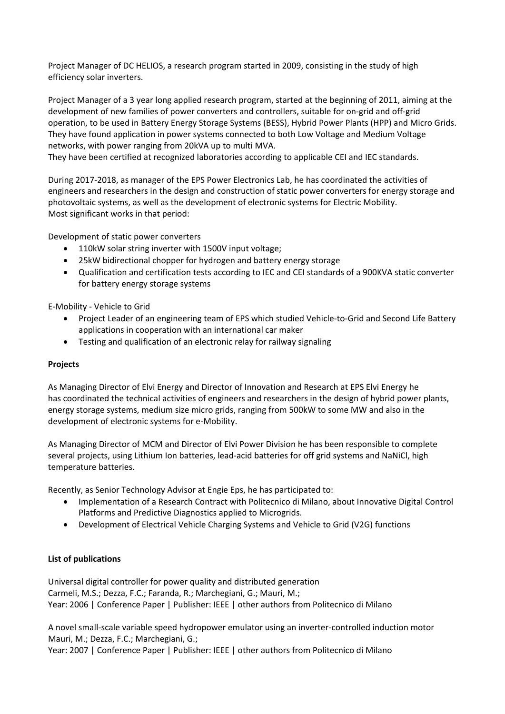Project Manager of DC HELIOS, a research program started in 2009, consisting in the study of high efficiency solar inverters.

Project Manager of a 3 year long applied research program, started at the beginning of 2011, aiming at the development of new families of power converters and controllers, suitable for on‐grid and off‐grid operation, to be used in Battery Energy Storage Systems (BESS), Hybrid Power Plants (HPP) and Micro Grids. They have found application in power systems connected to both Low Voltage and Medium Voltage networks, with power ranging from 20kVA up to multi MVA.

They have been certified at recognized laboratories according to applicable CEI and IEC standards.

During 2017‐2018, as manager of the EPS Power Electronics Lab, he has coordinated the activities of engineers and researchers in the design and construction of static power converters for energy storage and photovoltaic systems, as well as the development of electronic systems for Electric Mobility. Most significant works in that period:

Development of static power converters

- 110kW solar string inverter with 1500V input voltage;
- 25kW bidirectional chopper for hydrogen and battery energy storage
- Qualification and certification tests according to IEC and CEI standards of a 900KVA static converter for battery energy storage systems

E‐Mobility ‐ Vehicle to Grid

- Project Leader of an engineering team of EPS which studied Vehicle-to-Grid and Second Life Battery applications in cooperation with an international car maker
- Testing and qualification of an electronic relay for railway signaling

## **Projects**

As Managing Director of Elvi Energy and Director of Innovation and Research at EPS Elvi Energy he has coordinated the technical activities of engineers and researchers in the design of hybrid power plants, energy storage systems, medium size micro grids, ranging from 500kW to some MW and also in the development of electronic systems for e‐Mobility.

As Managing Director of MCM and Director of Elvi Power Division he has been responsible to complete several projects, using Lithium Ion batteries, lead-acid batteries for off grid systems and NaNiCl, high temperature batteries.

Recently, as Senior Technology Advisor at Engie Eps, he has participated to:

- Implementation of a Research Contract with Politecnico di Milano, about Innovative Digital Control Platforms and Predictive Diagnostics applied to Microgrids.
- Development of Electrical Vehicle Charging Systems and Vehicle to Grid (V2G) functions

## **List of publications**

Universal digital controller for power quality and distributed generation Carmeli, M.S.; Dezza, F.C.; Faranda, R.; Marchegiani, G.; Mauri, M.; Year: 2006 | Conference Paper | Publisher: IEEE | other authors from Politecnico di Milano

A novel small‐scale variable speed hydropower emulator using an inverter‐controlled induction motor Mauri, M.; Dezza, F.C.; Marchegiani, G.;

Year: 2007 | Conference Paper | Publisher: IEEE | other authors from Politecnico di Milano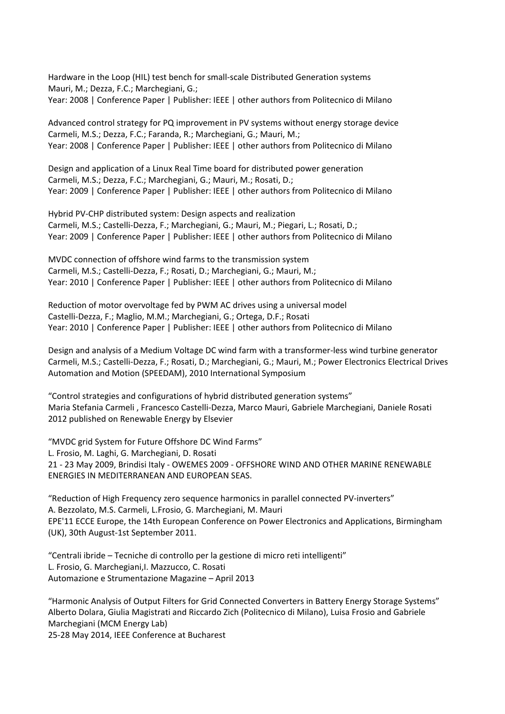Hardware in the Loop (HIL) test bench for small‐scale Distributed Generation systems Mauri, M.; Dezza, F.C.; Marchegiani, G.; Year: 2008 | Conference Paper | Publisher: IEEE | other authors from Politecnico di Milano

Advanced control strategy for PQ improvement in PV systems without energy storage device Carmeli, M.S.; Dezza, F.C.; Faranda, R.; Marchegiani, G.; Mauri, M.; Year: 2008 | Conference Paper | Publisher: IEEE | other authors from Politecnico di Milano

Design and application of a Linux Real Time board for distributed power generation Carmeli, M.S.; Dezza, F.C.; Marchegiani, G.; Mauri, M.; Rosati, D.; Year: 2009 | Conference Paper | Publisher: IEEE | other authors from Politecnico di Milano

Hybrid PV‐CHP distributed system: Design aspects and realization Carmeli, M.S.; Castelli‐Dezza, F.; Marchegiani, G.; Mauri, M.; Piegari, L.; Rosati, D.; Year: 2009 | Conference Paper | Publisher: IEEE | other authors from Politecnico di Milano

MVDC connection of offshore wind farms to the transmission system Carmeli, M.S.; Castelli‐Dezza, F.; Rosati, D.; Marchegiani, G.; Mauri, M.; Year: 2010 | Conference Paper | Publisher: IEEE | other authors from Politecnico di Milano

Reduction of motor overvoltage fed by PWM AC drives using a universal model Castelli‐Dezza, F.; Maglio, M.M.; Marchegiani, G.; Ortega, D.F.; Rosati Year: 2010 | Conference Paper | Publisher: IEEE | other authors from Politecnico di Milano

Design and analysis of a Medium Voltage DC wind farm with a transformer‐less wind turbine generator Carmeli, M.S.; Castelli‐Dezza, F.; Rosati, D.; Marchegiani, G.; Mauri, M.; Power Electronics Electrical Drives Automation and Motion (SPEEDAM), 2010 International Symposium

"Control strategies and configurations of hybrid distributed generation systems" Maria Stefania Carmeli , Francesco Castelli‐Dezza, Marco Mauri, Gabriele Marchegiani, Daniele Rosati 2012 published on Renewable Energy by Elsevier

"MVDC grid System for Future Offshore DC Wind Farms" L. Frosio, M. Laghi, G. Marchegiani, D. Rosati 21 ‐ 23 May 2009, Brindisi Italy ‐ OWEMES 2009 ‐ OFFSHORE WIND AND OTHER MARINE RENEWABLE ENERGIES IN MEDITERRANEAN AND EUROPEAN SEAS.

"Reduction of High Frequency zero sequence harmonics in parallel connected PV‐inverters" A. Bezzolato, M.S. Carmeli, L.Frosio, G. Marchegiani, M. Mauri EPE'11 ECCE Europe, the 14th European Conference on Power Electronics and Applications, Birmingham (UK), 30th August‐1st September 2011.

"Centrali ibride – Tecniche di controllo per la gestione di micro reti intelligenti" L. Frosio, G. Marchegiani,I. Mazzucco, C. Rosati Automazione e Strumentazione Magazine – April 2013

"Harmonic Analysis of Output Filters for Grid Connected Converters in Battery Energy Storage Systems" Alberto Dolara, Giulia Magistrati and Riccardo Zich (Politecnico di Milano), Luisa Frosio and Gabriele Marchegiani (MCM Energy Lab)

25‐28 May 2014, IEEE Conference at Bucharest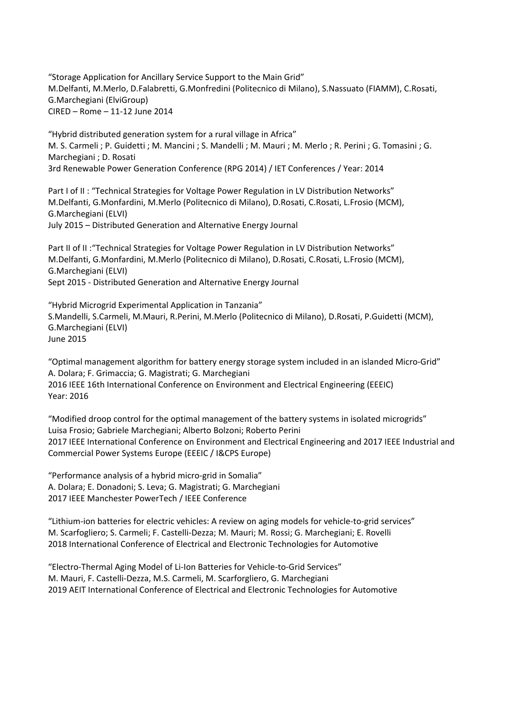"Storage Application for Ancillary Service Support to the Main Grid" M.Delfanti, M.Merlo, D.Falabretti, G.Monfredini (Politecnico di Milano), S.Nassuato (FIAMM), C.Rosati, G.Marchegiani (ElviGroup) CIRED – Rome – 11‐12 June 2014

"Hybrid distributed generation system for a rural village in Africa" M. S. Carmeli ; P. Guidetti ; M. Mancini ; S. Mandelli ; M. Mauri ; M. Merlo ; R. Perini ; G. Tomasini ; G. Marchegiani ; D. Rosati 3rd Renewable Power Generation Conference (RPG 2014) / IET Conferences / Year: 2014

Part I of II : "Technical Strategies for Voltage Power Regulation in LV Distribution Networks" M.Delfanti, G.Monfardini, M.Merlo (Politecnico di Milano), D.Rosati, C.Rosati, L.Frosio (MCM), G.Marchegiani (ELVI) July 2015 – Distributed Generation and Alternative Energy Journal

Part II of II : "Technical Strategies for Voltage Power Regulation in LV Distribution Networks" M.Delfanti, G.Monfardini, M.Merlo (Politecnico di Milano), D.Rosati, C.Rosati, L.Frosio (MCM), G.Marchegiani (ELVI) Sept 2015 ‐ Distributed Generation and Alternative Energy Journal

"Hybrid Microgrid Experimental Application in Tanzania" S.Mandelli, S.Carmeli, M.Mauri, R.Perini, M.Merlo (Politecnico di Milano), D.Rosati, P.Guidetti (MCM), G.Marchegiani (ELVI) June 2015

"Optimal management algorithm for battery energy storage system included in an islanded Micro‐Grid" A. Dolara; F. Grimaccia; G. Magistrati; G. Marchegiani 2016 IEEE 16th International Conference on Environment and Electrical Engineering (EEEIC) Year: 2016

"Modified droop control for the optimal management of the battery systems in isolated microgrids" Luisa Frosio; Gabriele Marchegiani; Alberto Bolzoni; Roberto Perini 2017 IEEE International Conference on Environment and Electrical Engineering and 2017 IEEE Industrial and Commercial Power Systems Europe (EEEIC / I&CPS Europe)

"Performance analysis of a hybrid micro‐grid in Somalia" A. Dolara; E. Donadoni; S. Leva; G. Magistrati; G. Marchegiani 2017 IEEE Manchester PowerTech / IEEE Conference

"Lithium‐ion batteries for electric vehicles: A review on aging models for vehicle‐to‐grid services" M. Scarfogliero; S. Carmeli; F. Castelli‐Dezza; M. Mauri; M. Rossi; G. Marchegiani; E. Rovelli 2018 International Conference of Electrical and Electronic Technologies for Automotive

"Electro‐Thermal Aging Model of Li‐Ion Batteries for Vehicle‐to‐Grid Services" M. Mauri, F. Castelli‐Dezza, M.S. Carmeli, M. Scarforgliero, G. Marchegiani 2019 AEIT International Conference of Electrical and Electronic Technologies for Automotive